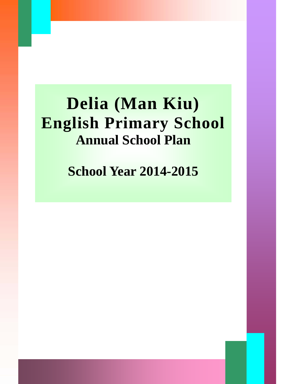# **Delia (Man Kiu) English Primary School Annual School Plan**

**School Year 2014-2015**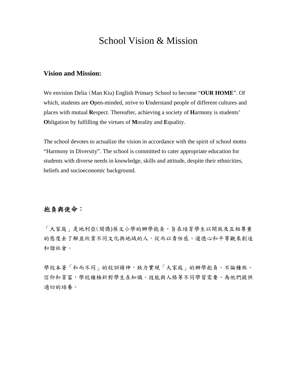## School Vision & Mission

#### **Vision and Mission:**

We envision Delia (Man Kiu) English Primary School to become "**OUR HOME**". Of which, students are **O**pen-minded, strive to **U**nderstand people of different cultures and places with mutual **R**espect. Thereafter, achieving a society of **H**armony is students' **O**bligation by fulfilling the virtues of **M**orality and **E**quality.

The school devotes to actualize the vision in accordance with the spirit of school motto "Harmony in Diversity". The school is committed to cater appropriate education for students with diverse needs in knowledge, skills and attitude, despite their ethnicities, beliefs and socioeconomic background.

#### 抱負與使命:

「大家庭」是地利亞(閩僑)英文小學的辦學抱負,旨在培育學生以開放及互相尊重 的態度去了解並欣賞不同文化與地域的人。從而以責任感、道德心和平等觀來創造 和諧社會。

學校本著「和而不同」的校訓精神,致力實現「大家庭」的辦學抱負。不論種族、 信仰和貧富,學校積極針對學生在知識、技能與人格等不同學習需要、為他們提供 適切的培養。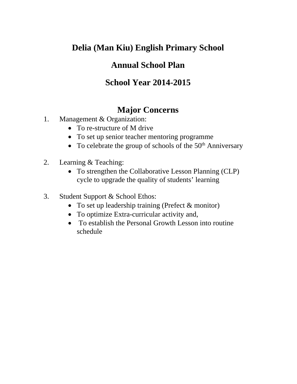## **Annual School Plan**

## **School Year 2014-2015**

## **Major Concerns**

- 1. Management & Organization:
	- To re-structure of M drive
	- To set up senior teacher mentoring programme
	- To celebrate the group of schools of the  $50<sup>th</sup>$  Anniversary
- 2. Learning & Teaching:
	- To strengthen the Collaborative Lesson Planning (CLP) cycle to upgrade the quality of students' learning
- 3. Student Support & School Ethos:
	- To set up leadership training (Prefect & monitor)
	- To optimize Extra-curricular activity and,
	- To establish the Personal Growth Lesson into routine schedule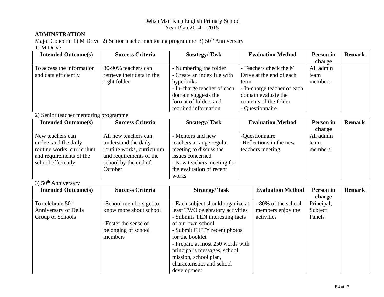#### **ADMINSTRATION**

Major Concern: 1) M Drive 2) Senior teacher mentoring programme 3)  $50<sup>th</sup>$  Anniversary 1) M Drive

| <b>Intended Outcome(s)</b>            | <b>Success Criteria</b>    | <b>Strategy/Task</b>                                |      | <b>Evaluation Method</b>    | Person in  | <b>Remark</b> |
|---------------------------------------|----------------------------|-----------------------------------------------------|------|-----------------------------|------------|---------------|
|                                       |                            |                                                     |      |                             | charge     |               |
| To access the information             | 80-90% teachers can        | - Numbering the folder                              |      | - Teachers check the M      | All admin  |               |
| and data efficiently                  | retrieve their data in the | - Create an index file with                         |      | Drive at the end of each    | team       |               |
|                                       | right folder               | hyperlinks                                          | term |                             | members    |               |
|                                       |                            | - In-charge teacher of each                         |      | - In-charge teacher of each |            |               |
|                                       |                            | domain suggests the                                 |      | domain evaluate the         |            |               |
|                                       |                            | format of folders and                               |      | contents of the folder      |            |               |
|                                       |                            | required information                                |      | - Questionnaire             |            |               |
| 2) Senior teacher mentoring programme |                            |                                                     |      |                             |            |               |
| <b>Intended Outcome(s)</b>            | <b>Success Criteria</b>    | <b>Strategy/Task</b>                                |      | <b>Evaluation Method</b>    | Person in  | <b>Remark</b> |
|                                       |                            |                                                     |      |                             | charge     |               |
| New teachers can                      | All new teachers can       | - Mentors and new                                   |      | -Questionnaire              | All admin  |               |
| understand the daily                  | understand the daily       | -Reflections in the new<br>teachers arrange regular |      | team                        |            |               |
| routine works, curriculum             | routine works, curriculum  | meeting to discuss the                              |      | teachers meeting            | members    |               |
| and requirements of the               | and requirements of the    | issues concerned                                    |      |                             |            |               |
| school efficiently                    | school by the end of       | - New teachers meeting for                          |      |                             |            |               |
|                                       | October                    | the evaluation of recent                            |      |                             |            |               |
|                                       |                            | works                                               |      |                             |            |               |
| 3) $50th$ Anniversary                 |                            |                                                     |      |                             |            |               |
| <b>Intended Outcome(s)</b>            | <b>Success Criteria</b>    | <b>Strategy/Task</b>                                |      | <b>Evaluation Method</b>    | Person in  | <b>Remark</b> |
|                                       |                            |                                                     |      |                             | charge     |               |
| To celebrate 50 <sup>th</sup>         | -School members get to     | - Each subject should organize at                   |      | - 80% of the school         | Principal, |               |
| Anniversary of Delia                  | know more about school     | least TWO celebratory activities                    |      | members enjoy the           | Subject    |               |
| Group of Schools                      |                            | - Submits TEN interesting facts                     |      | activities                  | Panels     |               |
|                                       | -Foster the sense of       | of our own school                                   |      |                             |            |               |
|                                       | belonging of school        | - Submit FIFTY recent photos                        |      |                             |            |               |
|                                       | members                    | for the booklet                                     |      |                             |            |               |
|                                       |                            | - Prepare at most 250 words with                    |      |                             |            |               |
|                                       |                            | principal's messages, school                        |      |                             |            |               |
|                                       |                            | mission, school plan,                               |      |                             |            |               |
|                                       |                            | characteristics and school                          |      |                             |            |               |
|                                       |                            | development                                         |      |                             |            |               |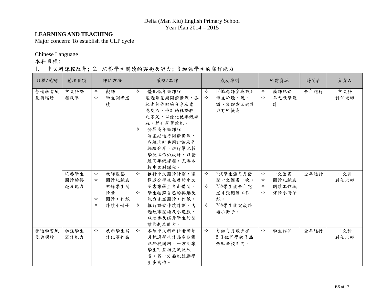#### **LEARNING AND TEACHING**

Major concern: To establish the CLP cycle

Chinese Language

本科目標:

#### 1. 中文科課程改革; 2. 培養學生閱讀的興趣及能力; 3 加強學生的寫作能力

| 目標/範疇         | 關注事項                 |                  | 評估方法                                           |             | 策略/工作                                                                                                                                                                       |                        | 成功準則                                                                      |                  | 所需資源                            | 時間表  | 負責人         |
|---------------|----------------------|------------------|------------------------------------------------|-------------|-----------------------------------------------------------------------------------------------------------------------------------------------------------------------------|------------------------|---------------------------------------------------------------------------|------------------|---------------------------------|------|-------------|
| 營造學習風<br>氣與環境 | 中文科課<br>程改革          | ✧<br>✧           | 觀課<br>學生測考成<br>績                               | ✧<br>✧      | 優化低年級課程<br>透過每星期同儕備課,各<br>級老師作經驗分享及意<br>見交流,檢討過往課程上<br>之不足,以優化低年級課<br>程,提升學習效能。<br>發展高年級課程<br>每星期進行同儕備課,<br>各級老師共同討論及作<br>經驗分享,進行單元教<br>學及工作紙設計,以發<br>展高年級課程,完善本<br>校中文科課程。 | ✧<br>$\Leftrightarrow$ | 100%老師參與設計<br>學生於聽、說、<br>讀、寫四方面的能<br>力有所提高。                               | ✧<br>✧           | 備課紀錄<br>單元教學設<br>計              | 全年進行 | 中文科<br>科任老師 |
|               | 培養學生<br>閱讀的興<br>趣及能力 | ✧<br>✧<br>✧<br>✧ | 教師觀察<br>閱讀紀錄表<br>紀錄學生閱<br>讀量<br>閱讀工作紙<br>伴讀小冊子 | ✧<br>✧<br>✧ | 推行中文閱讀計劃,選<br>擇適合學生程度的中文<br>圖書讓學生自由借閱。<br>學生按照自己的興趣及<br>能力完成閱讀工作紙。<br>推行課堂伴讀計劃,透<br>過故事閱讀及小遊戲,<br>以培養及提升學生的閱<br>讀興趣及能力。                                                     | ✧<br>✧<br>✧            | 75%學生能每月借<br>閱中文圖書一次。<br>75%學生能全年完<br>成4張閱讀工作<br>紙。<br>70%學生能完成伴<br>讀小冊子。 | ✧<br>✧<br>✧<br>✧ | 中文圖書<br>閱讀紀錄表<br>閱讀工作紙<br>伴讀小冊子 | 全年進行 | 中文科<br>科任老師 |
| 營造學習風<br>氣與環境 | 加強學生<br>寫作能力         | ✧                | 展示學生寫<br>作比賽作品                                 | ✧           | 各組中文科科任老師每<br>月揀選學生作品定期張<br>貼於校園內,一方面讓<br>學生可互相交流及欣<br>賞,另一方面能鼓勵學<br>生多寫作。                                                                                                  | ✧                      | 每組每月最少有<br>2-3 位同學的作品<br>張貼於校園內。                                          | ✧                | 學生作品                            | 全年進行 | 中文科<br>科任老師 |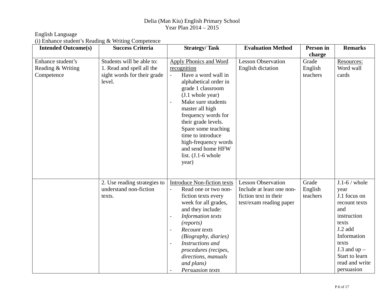#### English Language

(i) Enhance student's Reading & Writing Competence

| <b>Intended Outcome(s)</b>                           | <b>Success Criteria</b>                                                                         | <b>Strategy/Task</b>                                                                                                                                                                                                                                                                                                                                                                | <b>Evaluation Method</b>                                                                                   | Person in                    | <b>Remarks</b>                                                                                                                                                                                 |
|------------------------------------------------------|-------------------------------------------------------------------------------------------------|-------------------------------------------------------------------------------------------------------------------------------------------------------------------------------------------------------------------------------------------------------------------------------------------------------------------------------------------------------------------------------------|------------------------------------------------------------------------------------------------------------|------------------------------|------------------------------------------------------------------------------------------------------------------------------------------------------------------------------------------------|
|                                                      |                                                                                                 |                                                                                                                                                                                                                                                                                                                                                                                     |                                                                                                            | charge                       |                                                                                                                                                                                                |
| Enhance student's<br>Reading & Writing<br>Competence | Students will be able to:<br>1. Read and spell all the<br>sight words for their grade<br>level. | Apply Phonics and Word<br>recognition<br>Have a word wall in<br>$\blacksquare$<br>alphabetical order in<br>grade 1 classroom<br>(J.1 whole year)<br>Make sure students<br>$\blacksquare$<br>master all high<br>frequency words for<br>their grade levels.<br>Spare some teaching<br>time to introduce<br>high-frequency words<br>and send home HFW<br>list. $(J.1-6$ whole<br>year) | <b>Lesson Observation</b><br>English dictation                                                             | Grade<br>English<br>teachers | Resources:<br>Word wall<br>cards                                                                                                                                                               |
|                                                      | 2. Use reading strategies to<br>understand non-fiction<br>texts.                                | <b>Introduce Non-fiction texts</b><br>Read one or two non-<br>$\overline{a}$<br>fiction texts every<br>week for all grades,<br>and they include:<br>Information texts<br>$\blacksquare$<br>(reports)<br>Recount texts<br>(Biography, diaries)<br>Instructions and<br>$\blacksquare$<br>procedures (recipes,<br>directions, manuals<br>and plans)<br><b>Persuasion texts</b>         | <b>Lesson Observation</b><br>Include at least one non-<br>fiction text in their<br>test/exam reading paper | Grade<br>English<br>teachers | $J.1-6$ / whole<br>year<br>J.1 focus on<br>recount texts<br>and<br>instruction<br>texts<br>J.2 add<br>Information<br>texts<br>J.3 and $up -$<br>Start to learn<br>read and write<br>persuasion |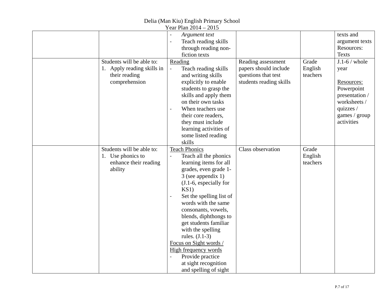|                                                                                    | Year Plan 2014 – 2015                                                                                                                                                                                                                                                                                                                                                                                                                                                                                |                                                                         |                              |                                                                                                                |
|------------------------------------------------------------------------------------|------------------------------------------------------------------------------------------------------------------------------------------------------------------------------------------------------------------------------------------------------------------------------------------------------------------------------------------------------------------------------------------------------------------------------------------------------------------------------------------------------|-------------------------------------------------------------------------|------------------------------|----------------------------------------------------------------------------------------------------------------|
| Students will be able to:                                                          | Argument text<br>Teach reading skills<br>$\bar{\phantom{a}}$<br>through reading non-<br>fiction texts<br>Reading                                                                                                                                                                                                                                                                                                                                                                                     | Reading assessment                                                      | Grade                        | texts and<br>argument texts<br>Resources:<br><b>Texts</b><br>$J.1-6$ / whole                                   |
| 1. Apply reading skills in<br>their reading<br>comprehension                       | Teach reading skills<br>$\blacksquare$<br>and writing skills<br>explicitly to enable<br>students to grasp the<br>skills and apply them<br>on their own tasks<br>When teachers use<br>$\sim$<br>their core readers,<br>they must include<br>learning activities of<br>some listed reading<br>skills                                                                                                                                                                                                   | papers should include<br>questions that test<br>students reading skills | English<br>teachers          | year<br>Resources:<br>Powerpoint<br>presentation /<br>worksheets /<br>quizzes /<br>games / group<br>activities |
| Students will be able to:<br>1. Use phonics to<br>enhance their reading<br>ability | <b>Teach Phonics</b><br>Teach all the phonics<br>$\blacksquare$<br>learning items for all<br>grades, even grade 1-<br>3 (see appendix 1)<br>$(J.1-6, especially for$<br>KS1)<br>Set the spelling list of<br>$\overline{\phantom{a}}$<br>words with the same<br>consonants, vowels,<br>blends, diphthongs to<br>get students familiar<br>with the spelling<br>rules. $(J.1-3)$<br>Focus on Sight words /<br>High frequency words<br>Provide practice<br>at sight recognition<br>and spelling of sight | Class observation                                                       | Grade<br>English<br>teachers |                                                                                                                |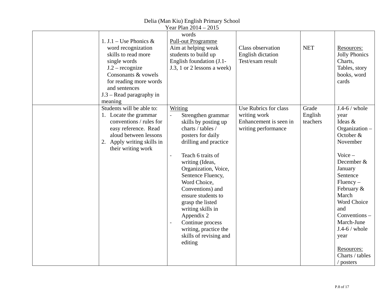|                                                                                                                                                                                                                     | Year Plan 2014 – 2015                                                                                                                                                                                                                                                                                                                                                                                                                    |                                                                                        |                              |                                                                                                                                                                                                                                                                                                     |
|---------------------------------------------------------------------------------------------------------------------------------------------------------------------------------------------------------------------|------------------------------------------------------------------------------------------------------------------------------------------------------------------------------------------------------------------------------------------------------------------------------------------------------------------------------------------------------------------------------------------------------------------------------------------|----------------------------------------------------------------------------------------|------------------------------|-----------------------------------------------------------------------------------------------------------------------------------------------------------------------------------------------------------------------------------------------------------------------------------------------------|
| 1. J.1 – Use Phonics &<br>word recognization<br>skills to read more<br>single words<br>$J.2$ – recognize<br>Consonants & vowels<br>for reading more words<br>and sentences<br>$J.3$ – Read paragraphy in<br>meaning | words<br><b>Pull-out Programme</b><br>Aim at helping weak<br>students to build up<br>English foundation (J.1-<br>J.3, 1 or 2 lessons a week)                                                                                                                                                                                                                                                                                             | Class observation<br><b>English dictation</b><br>Test/exam result                      | <b>NET</b>                   | Resources:<br><b>Jolly Phonics</b><br>Charts,<br>Tables, story<br>books, word<br>cards                                                                                                                                                                                                              |
| Students will be able to:<br>1. Locate the grammar<br>conventions / rules for<br>easy reference. Read<br>aloud between lessons<br>2. Apply writing skills in<br>their writing work                                  | Writing<br>Strengthen grammar<br>skills by posting up<br>charts / tables /<br>posters for daily<br>drilling and practice<br>Teach 6 traits of<br>ä,<br>writing (Ideas,<br>Organization, Voice,<br>Sentence Fluency,<br>Word Choice,<br>Conventions) and<br>ensure students to<br>grasp the listed<br>writing skills in<br>Appendix 2<br>Continue process<br>$\blacksquare$<br>writing, practice the<br>skills of revising and<br>editing | Use Rubrics for class<br>writing work<br>Enhancement is seen in<br>writing performance | Grade<br>English<br>teachers | $J.4-6$ / whole<br>year<br>Ideas &<br>Organization -<br>October $&$<br>November<br>Voice $-$<br>December &<br>January<br>Sentence<br>$Fluency -$<br>February &<br>March<br>Word Choice<br>and<br>Conventions -<br>March-June<br>$J.4-6$ / whole<br>year<br>Resources:<br>Charts / tables<br>posters |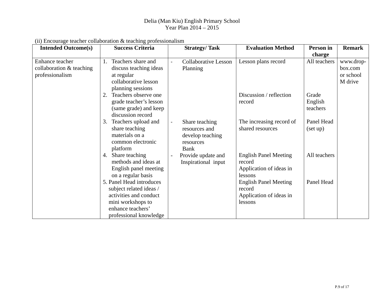| <b>Intended Outcome(s)</b>                                       | <b>Success Criteria</b>                                                                                                                           | <b>Strategy/Task</b>                                                     | <b>Evaluation Method</b>                                                     | Person in                    | <b>Remark</b>                                |
|------------------------------------------------------------------|---------------------------------------------------------------------------------------------------------------------------------------------------|--------------------------------------------------------------------------|------------------------------------------------------------------------------|------------------------------|----------------------------------------------|
|                                                                  |                                                                                                                                                   |                                                                          |                                                                              | charge                       |                                              |
| Enhance teacher<br>collaboration $&$ teaching<br>professionalism | Teachers share and<br>1.<br>discuss teaching ideas<br>at regular<br>collaborative lesson<br>planning sessions                                     | <b>Collaborative Lesson</b><br>Planning                                  | Lesson plans record                                                          | All teachers                 | www.drop-<br>box.com<br>or school<br>M drive |
|                                                                  | Teachers observe one<br>2.<br>grade teacher's lesson<br>(same grade) and keep<br>discussion record                                                |                                                                          | Discussion / reflection<br>record                                            | Grade<br>English<br>teachers |                                              |
|                                                                  | 3.<br>Teachers upload and<br>share teaching<br>materials on a<br>common electronic<br>platform                                                    | Share teaching<br>resources and<br>develop teaching<br>resources<br>Bank | The increasing record of<br>shared resources                                 | Panel Head<br>(set up)       |                                              |
|                                                                  | 4. Share teaching<br>methods and ideas at<br>English panel meeting<br>on a regular basis                                                          | Provide update and<br>Inspirational input                                | <b>English Panel Meeting</b><br>record<br>Application of ideas in<br>lessons | All teachers                 |                                              |
|                                                                  | 5. Panel Head introduces<br>subject related ideas /<br>activities and conduct<br>mini workshops to<br>enhance teachers'<br>professional knowledge |                                                                          | <b>English Panel Meeting</b><br>record<br>Application of ideas in<br>lessons | Panel Head                   |                                              |

(ii) Encourage teacher collaboration & teaching professionalism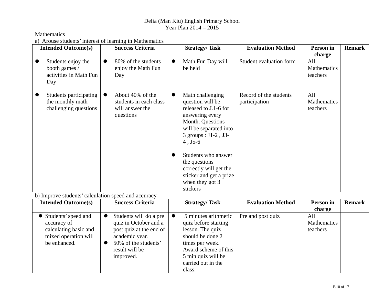#### Mathematics

a) Arouse students' interest of learning in Mathematics

| <b>Intended Outcome(s)</b>                                                                          | <b>Success Criteria</b>                                                                                                                                                       | <b>Strategy/Task</b>                                                                                                                                                                                                                                                                                                      | <b>Evaluation Method</b>                | Person in                                       | <b>Remark</b> |
|-----------------------------------------------------------------------------------------------------|-------------------------------------------------------------------------------------------------------------------------------------------------------------------------------|---------------------------------------------------------------------------------------------------------------------------------------------------------------------------------------------------------------------------------------------------------------------------------------------------------------------------|-----------------------------------------|-------------------------------------------------|---------------|
| Students enjoy the<br>booth games /<br>activities in Math Fun<br>Day                                | 80% of the students<br>$\bullet$<br>enjoy the Math Fun<br>Day                                                                                                                 | Math Fun Day will<br>$\bullet$<br>be held                                                                                                                                                                                                                                                                                 | Student evaluation form                 | charge<br>All<br><b>Mathematics</b><br>teachers |               |
| Students participating<br>$\bullet$<br>the monthly math<br>challenging questions                    | About 40% of the<br>$\bullet$<br>students in each class<br>will answer the<br>questions                                                                                       | Math challenging<br>$\bullet$<br>question will be<br>released to J.1-6 for<br>answering every<br>Month. Questions<br>will be separated into<br>3 groups : J1-2, J3-<br>$4, J5-6$<br>Students who answer<br>$\bullet$<br>the questions<br>correctly will get the<br>sticker and get a prize<br>when they got 3<br>stickers | Record of the students<br>participation | A11<br><b>Mathematics</b><br>teachers           |               |
| b) Improve students' calculation speed and accuracy                                                 |                                                                                                                                                                               |                                                                                                                                                                                                                                                                                                                           |                                         |                                                 |               |
| <b>Intended Outcome(s)</b>                                                                          | <b>Success Criteria</b>                                                                                                                                                       | <b>Strategy/Task</b>                                                                                                                                                                                                                                                                                                      | <b>Evaluation Method</b>                | Person in<br>charge                             | <b>Remark</b> |
| Students' speed and<br>accuracy of<br>calculating basic and<br>mixed operation will<br>be enhanced. | Students will do a pre<br>$\bullet$<br>quiz in October and a<br>post quiz at the end of<br>academic year.<br>50% of the students'<br>$\bullet$<br>result will be<br>improved. | 5 minutes arithmetic<br>$\bullet$<br>quiz before starting<br>lesson. The quiz<br>should be done 2<br>times per week.<br>Award scheme of this<br>5 min quiz will be<br>carried out in the<br>class.                                                                                                                        | Pre and post quiz                       | All<br><b>Mathematics</b><br>teachers           |               |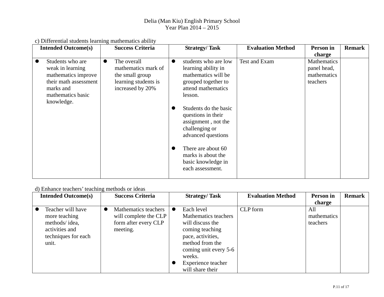|  |  | c) Differential students learning mathematics ability |  |
|--|--|-------------------------------------------------------|--|
|  |  |                                                       |  |

| <b>Intended Outcome(s)</b> | <b>Success Criteria</b>  | <b>Strategy/Task</b>                                                                                       | <b>Evaluation Method</b> | Person in          | <b>Remark</b> |
|----------------------------|--------------------------|------------------------------------------------------------------------------------------------------------|--------------------------|--------------------|---------------|
|                            |                          |                                                                                                            |                          | charge             |               |
| Students who are           | The overall<br>$\bullet$ | students who are low                                                                                       | Test and Exam            | <b>Mathematics</b> |               |
| weak in learning           | mathematics mark of      | learning ability in                                                                                        |                          | panel head,        |               |
| mathematics improve        | the small group          | mathematics will be                                                                                        |                          | mathematics        |               |
| their math assessment      | learning students is     | grouped together to                                                                                        |                          | teachers           |               |
| marks and                  | increased by 20%         | attend mathematics                                                                                         |                          |                    |               |
| mathematics basic          |                          | lesson.                                                                                                    |                          |                    |               |
| knowledge.                 |                          |                                                                                                            |                          |                    |               |
|                            |                          | Students do the basic<br>questions in their<br>assignment, not the<br>challenging or<br>advanced questions |                          |                    |               |
|                            |                          | There are about 60<br>marks is about the<br>basic knowledge in<br>each assessment.                         |                          |                    |               |

### d) Enhance teachers' teaching methods or ideas

| <b>Intended Outcome(s)</b> |           | <b>Success Criteria</b> | <b>Strategy/Task</b>  | <b>Evaluation Method</b> | Person in   | <b>Remark</b> |
|----------------------------|-----------|-------------------------|-----------------------|--------------------------|-------------|---------------|
|                            |           |                         |                       |                          | charge      |               |
| Teacher will have          | $\bullet$ | Mathematics teachers    | Each level            | CLP form                 | All         |               |
| more teaching              |           | will complete the CLP   | Mathematics teachers  |                          | mathematics |               |
| methods/idea,              |           | form after every CLP    | will discuss the      |                          | teachers    |               |
| activities and             |           | meeting.                | coming teaching       |                          |             |               |
| techniques for each        |           |                         | pace, activities,     |                          |             |               |
| unit.                      |           |                         | method from the       |                          |             |               |
|                            |           |                         | coming unit every 5-6 |                          |             |               |
|                            |           |                         | weeks.                |                          |             |               |
|                            |           |                         | Experience teacher    |                          |             |               |
|                            |           |                         | will share their      |                          |             |               |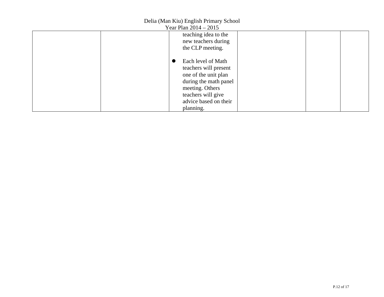| Year Plan 2014 – 2015           |  |
|---------------------------------|--|
| teaching idea to the            |  |
| new teachers during             |  |
| the CLP meeting.                |  |
|                                 |  |
| Each level of Math<br>$\bullet$ |  |
| teachers will present           |  |
| one of the unit plan            |  |
| during the math panel           |  |
| meeting. Others                 |  |
| teachers will give              |  |
| advice based on their           |  |
| planning.                       |  |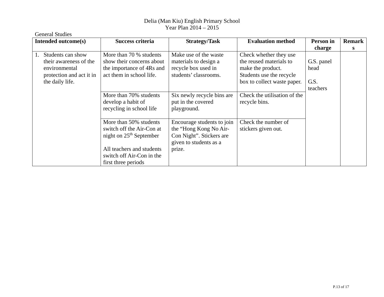| <b>General Studies</b>                                                                                            |                                                                                                                                                                   |                                                                                                                      |                                                                                                                                   |                                        |               |
|-------------------------------------------------------------------------------------------------------------------|-------------------------------------------------------------------------------------------------------------------------------------------------------------------|----------------------------------------------------------------------------------------------------------------------|-----------------------------------------------------------------------------------------------------------------------------------|----------------------------------------|---------------|
| Intended outcome(s)                                                                                               | Success criteria                                                                                                                                                  | <b>Strategy/Task</b>                                                                                                 | <b>Evaluation method</b>                                                                                                          | Person in                              | <b>Remark</b> |
|                                                                                                                   |                                                                                                                                                                   |                                                                                                                      |                                                                                                                                   | charge                                 | S             |
| Students can show<br>1.<br>their awareness of the<br>environmental<br>protection and act it in<br>the daily life. | More than 70 % students<br>show their concerns about<br>the importance of 4Rs and<br>act them in school life.                                                     | Make use of the waste<br>materials to design a<br>recycle box used in<br>students' classrooms.                       | Check whether they use<br>the reused materials to<br>make the product.<br>Students use the recycle<br>box to collect waste paper. | G.S. panel<br>head<br>G.S.<br>teachers |               |
|                                                                                                                   | More than 70% students<br>develop a habit of<br>recycling in school life                                                                                          | Six newly recycle bins are<br>put in the covered<br>playground.                                                      | Check the utilisation of the<br>recycle bins.                                                                                     |                                        |               |
|                                                                                                                   | More than 50% students<br>switch off the Air-Con at<br>night on $25th$ September<br>All teachers and students<br>switch off Air-Con in the<br>first three periods | Encourage students to join<br>the "Hong Kong No Air-<br>Con Night". Stickers are<br>given to students as a<br>prize. | Check the number of<br>stickers given out.                                                                                        |                                        |               |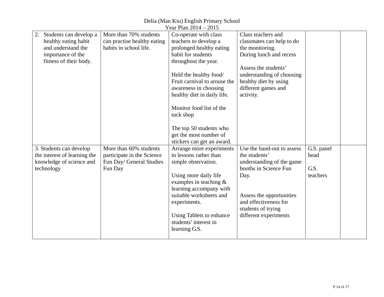#### Year Plan 2014 – 2015 2. Students can develop a healthy eating habit and understand the importance of the fitness of their body. More than 70% students can practise healthy eating habits in school life. Co-operate with class teachers to develop a prolonged healthy eating habit for students throughout the year. Held the healthy food/ Fruit carnival to arouse the awareness in choosing healthy diet in daily life. Monitor food list of the tuck shop The top 50 students who get the most number of stickers can get an award. Class teachers and classmates can help to do the monitoring. During lunch and recess Assess the students' understanding of choosing healthy diet by using different games and activity. 3. Students can develop the interest of learning the knowledge of science and technology More than 60% students participate in the Science Fun Day/ General Studies Fun Day Arrange more experiments in lessons rather than simple observation. Using more daily life examples in teaching & learning accompany with suitable worksheets and experiments. Using Tablets to enhance students' interest in learning G.S. Use the hand-out to assess the students' understanding of the game booths in Science Fun Day. Assess the opportunities and effectiveness for students of trying different experiments G.S. panel head G.S. teachers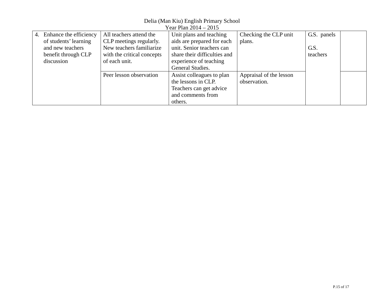| Year Plan 2014 – 2015 |                        |                            |                              |                         |             |  |  |
|-----------------------|------------------------|----------------------------|------------------------------|-------------------------|-------------|--|--|
| 4.                    | Enhance the efficiency | All teachers attend the    | Unit plans and teaching      | Checking the CLP unit   | G.S. panels |  |  |
|                       | of students' learning  | CLP meetings regularly.    | aids are prepared for each   | plans.                  |             |  |  |
|                       | and new teachers       | New teachers familiarize   | unit. Senior teachers can    |                         | G.S.        |  |  |
|                       | benefit through CLP    | with the critical concepts | share their difficulties and |                         | teachers    |  |  |
|                       | discussion             | of each unit.              | experience of teaching       |                         |             |  |  |
|                       |                        |                            | General Studies.             |                         |             |  |  |
|                       |                        | Peer lesson observation    | Assist colleagues to plan    | Appraisal of the lesson |             |  |  |
|                       |                        |                            | the lessons in CLP.          | observation.            |             |  |  |
|                       |                        |                            | Teachers can get advice      |                         |             |  |  |
|                       |                        |                            | and comments from            |                         |             |  |  |
|                       |                        |                            | others.                      |                         |             |  |  |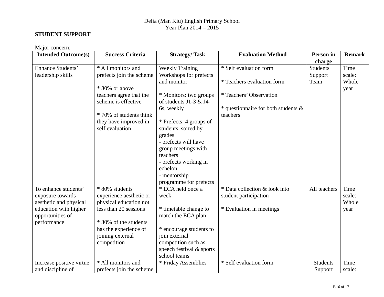#### **STUDENT SUPPORT**

Major concern:

| <b>Intended Outcome(s)</b> | <b>Success Criteria</b>  | <b>Strategy/Task</b>     | <b>Evaluation Method</b>                | Person in       | <b>Remark</b> |
|----------------------------|--------------------------|--------------------------|-----------------------------------------|-----------------|---------------|
|                            |                          |                          |                                         | charge          |               |
| Enhance Students'          | * All monitors and       | <b>Weekly Training</b>   | * Self evaluation form                  | <b>Students</b> | Time          |
| leadership skills          | prefects join the scheme | Workshops for prefects   |                                         | Support         | scale:        |
|                            |                          | and monitor              | * Teachers evaluation form              | Team            | Whole         |
|                            | * 80% or above           |                          |                                         |                 | year          |
|                            | teachers agree that the  | * Monitors: two groups   | * Teachers' Observation                 |                 |               |
|                            | scheme is effective      | of students J1-3 $&$ J4- |                                         |                 |               |
|                            |                          | 6s, weekly               | $*$ questionnaire for both students $&$ |                 |               |
|                            | * 70% of students think  |                          | teachers                                |                 |               |
|                            | they have improved in    | * Prefects: 4 groups of  |                                         |                 |               |
|                            | self evaluation          | students, sorted by      |                                         |                 |               |
|                            |                          | grades                   |                                         |                 |               |
|                            |                          | - prefects will have     |                                         |                 |               |
|                            |                          | group meetings with      |                                         |                 |               |
|                            |                          | teachers                 |                                         |                 |               |
|                            |                          | - prefects working in    |                                         |                 |               |
|                            |                          | echelon                  |                                         |                 |               |
|                            |                          | - mentorship             |                                         |                 |               |
|                            |                          | programme for prefects   |                                         |                 |               |
| To enhance students'       | * 80% students           | * ECA held once a        | * Data collection & look into           | All teachers    | Time          |
| exposure towards           | experience aesthetic or  | week                     | student participation                   |                 | scale:        |
| aesthetic and physical     | physical education not   |                          |                                         |                 | Whole         |
| education with higher      | less than 20 sessions    | * timetable change to    | * Evaluation in meetings                |                 | year          |
| opportunities of           |                          | match the ECA plan       |                                         |                 |               |
| performance                | * 30% of the students    |                          |                                         |                 |               |
|                            | has the experience of    | * encourage students to  |                                         |                 |               |
|                            | joining external         | join external            |                                         |                 |               |
|                            | competition              | competition such as      |                                         |                 |               |
|                            |                          | speech festival & sports |                                         |                 |               |
|                            |                          | school teams             |                                         |                 |               |
| Increase positive virtue   | * All monitors and       | * Friday Assemblies      | * Self evaluation form                  | <b>Students</b> | Time          |
| and discipline of          | prefects join the scheme |                          |                                         | Support         | scale:        |